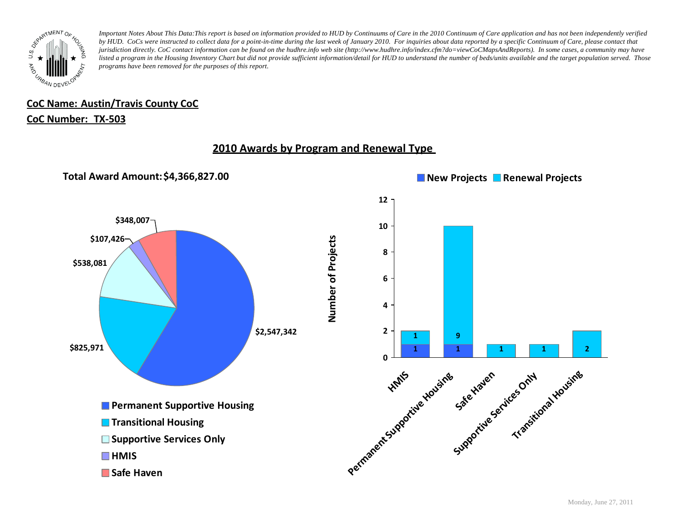

## **CoC Name: Austin/Travis County CoC**

### **CoC Number: TX-503**

## **2010 Awards by Program and Renewal Type**

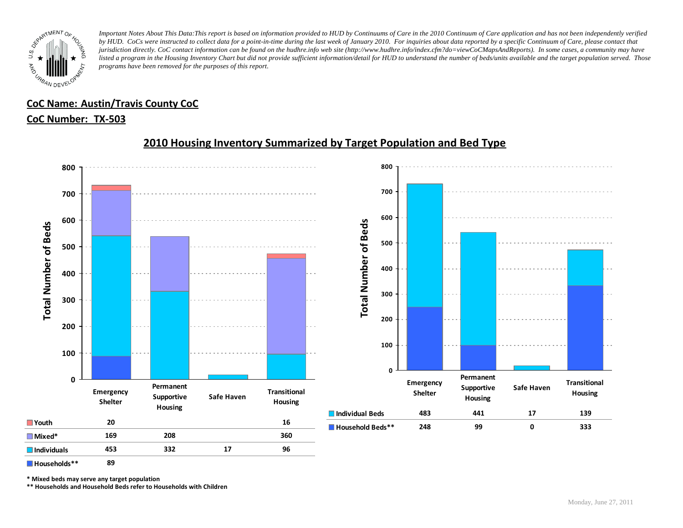

## **CoC Name: Austin/Travis County CoC**

### **CoC Number: TX-503**



## **2010 Housing Inventory Summarized by Target Population and Bed Type**

**Households\*\* 89**

**\* Mixed beds may serve any target population**

**\*\* Households and Household Beds refer to Households with Children**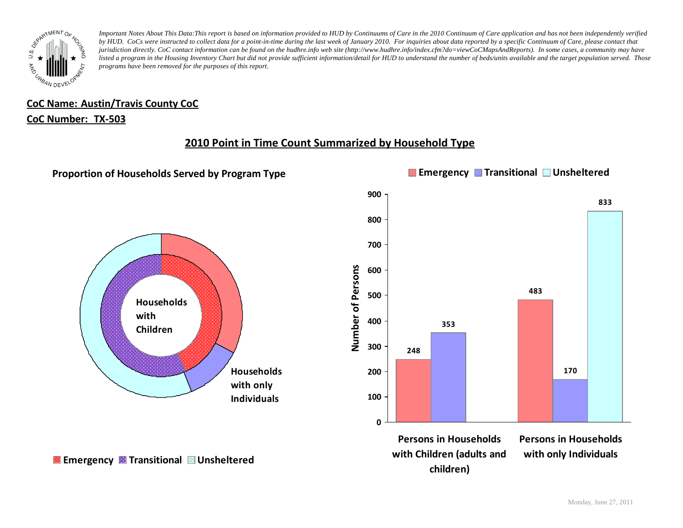

# **CoC Name: Austin/Travis County CoC**

### **CoC Number: TX-503**

## **2010 Point in Time Count Summarized by Household Type**